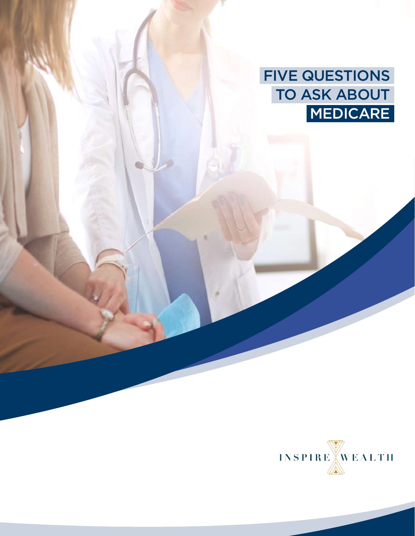FIVE QUESTIONS TO ASK ABOUT MEDICARE

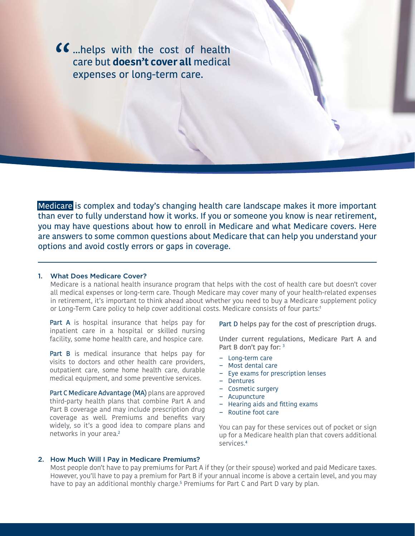**66** ...helps with the cost of health care but **doesn't cover all** medical expenses or long-term care. care but **doesn't cover all** medical expenses or long-term care.

Medicare is complex and today's changing health care landscape makes it more important than ever to fully understand how it works. If you or someone you know is near retirement, you may have questions about how to enroll in Medicare and what Medicare covers. Here are answers to some common questions about Medicare that can help you understand your options and avoid costly errors or gaps in coverage.

# 1. What Does Medicare Cover?

Medicare is a national health insurance program that helps with the cost of health care but doesn't cover all medical expenses or long-term care. Though Medicare may cover many of your health-related expenses in retirement, it's important to think ahead about whether you need to buy a Medicare supplement policy or Long-Term Care policy to help cover additional costs. Medicare consists of four parts:1

Part A is hospital insurance that helps pay for inpatient care in a hospital or skilled nursing facility, some home health care, and hospice care.

Part B is medical insurance that helps pay for visits to doctors and other health care providers, outpatient care, some home health care, durable medical equipment, and some preventive services.

Part C Medicare Advantage (MA) plans are approved third-party health plans that combine Part A and Part B coverage and may include prescription drug coverage as well. Premiums and benefits vary widely, so it's a good idea to compare plans and networks in your area.2

Part D helps pay for the cost of prescription drugs.

Under current regulations, Medicare Part A and Part B don't pay for: 3

- Long-term care
- Most dental care
- Eye exams for prescription lenses
- Dentures
- Cosmetic surgery
- Acupuncture
- Hearing aids and fitting exams
- Routine foot care

You can pay for these services out of pocket or sign up for a Medicare health plan that covers additional services.4

## 2. How Much Will I Pay in Medicare Premiums?

Most people don't have to pay premiums for Part A if they (or their spouse) worked and paid Medicare taxes. However, you'll have to pay a premium for Part B if your annual income is above a certain level, and you may have to pay an additional monthly charge.5 Premiums for Part C and Part D vary by plan.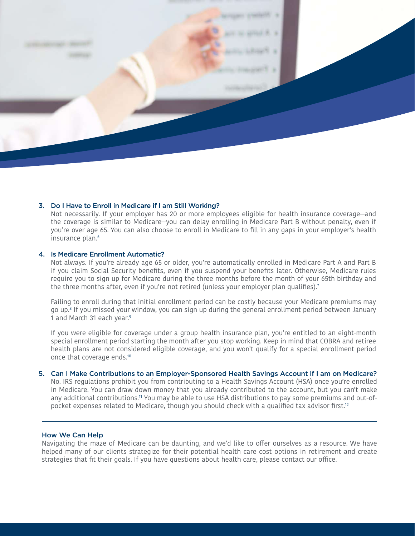

#### 3. Do I Have to Enroll in Medicare if I am Still Working?

Not necessarily. If your employer has 20 or more employees eligible for health insurance coverage—and the coverage is similar to Medicare—you can delay enrolling in Medicare Part B without penalty, even if you're over age 65. You can also choose to enroll in Medicare to fill in any gaps in your employer's health insurance plan.<sup>6</sup>

## 4. Is Medicare Enrollment Automatic?

Not always. If you're already age 65 or older, you're automatically enrolled in Medicare Part A and Part B if you claim Social Security benefits, even if you suspend your benefits later. Otherwise, Medicare rules require you to sign up for Medicare during the three months before the month of your 65th birthday and the three months after, even if you're not retired (unless your employer plan qualifies).<sup>7</sup>

Failing to enroll during that initial enrollment period can be costly because your Medicare premiums may go up.8 If you missed your window, you can sign up during the general enrollment period between January 1 and March 31 each year.<sup>9</sup>

If you were eligible for coverage under a group health insurance plan, you're entitled to an eight-month special enrollment period starting the month after you stop working. Keep in mind that COBRA and retiree health plans are not considered eligible coverage, and you won't qualify for a special enrollment period once that coverage ends.<sup>10</sup>

## 5. Can I Make Contributions to an Employer-Sponsored Health Savings Account if I am on Medicare?

No. IRS regulations prohibit you from contributing to a Health Savings Account (HSA) once you're enrolled in Medicare. You can draw down money that you already contributed to the account, but you can't make any additional contributions.11 You may be able to use HSA distributions to pay some premiums and out-ofpocket expenses related to Medicare, though you should check with a qualified tax advisor first.12

# How We Can Help

Navigating the maze of Medicare can be daunting, and we'd like to offer ourselves as a resource. We have helped many of our clients strategize for their potential health care cost options in retirement and create strategies that fit their goals. If you have questions about health care, please contact our office.